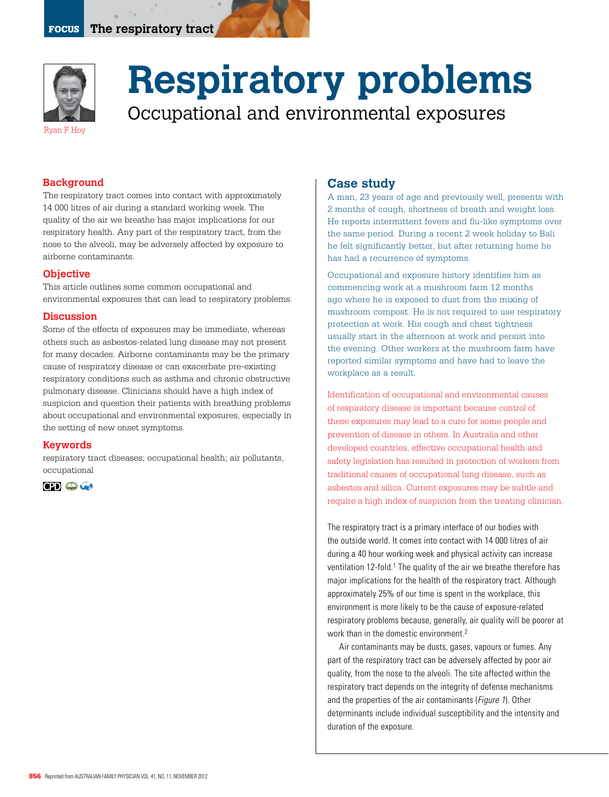

# **Respiratory problems** Occupational and environmental exposures

## **Background**

The respiratory tract comes into contact with approximately 14 000 litres of air during a standard working week. The quality of the air we breathe has major implications for our respiratory health. Any part of the respiratory tract, from the nose to the alveoli, may be adversely affected by exposure to airborne contaminants.

## **Objective**

This article outlines some common occupational and environmental exposures that can lead to respiratory problems.

#### **Discussion**

Some of the effects of exposures may be immediate, whereas others such as asbestos-related lung disease may not present for many decades. Airborne contaminants may be the primary cause of respiratory disease or can exacerbate pre-existing respiratory conditions such as asthma and chronic obstructive pulmonary disease. Clinicians should have a high index of suspicion and question their patients with breathing problems about occupational and environmental exposures, especially in the setting of new onset symptoms.

## **Keywords**

respiratory tract diseases; occupational health; air pollutants, occupational



## **Case study**

A man, 23 years of age and previously well, presents with 2 months of cough, shortness of breath and weight loss. He reports intermittent fevers and flu-like symptoms over the same period. During a recent 2 week holiday to Bali he felt significantly better, but after returning home he has had a recurrence of symptoms.

Occupational and exposure history identifies him as commencing work at a mushroom farm 12 months ago where he is exposed to dust from the mixing of mushroom compost. He is not required to use respiratory protection at work. His cough and chest tightness usually start in the afternoon at work and persist into the evening. Other workers at the mushroom farm have reported similar symptoms and have had to leave the workplace as a result.

Identification of occupational and environmental causes of respiratory disease is important because control of these exposures may lead to a cure for some people and prevention of disease in others. In Australia and other developed countries, effective occupational health and safety legislation has resulted in protection of workers from traditional causes of occupational lung disease, such as asbestos and silica. Current exposures may be subtle and require a high index of suspicion from the treating clinician.

The respiratory tract is a primary interface of our bodies with the outside world. It comes into contact with 14 000 litres of air during a 40 hour working week and physical activity can increase ventilation 12-fold.<sup>1</sup> The quality of the air we breathe therefore has major implications for the health of the respiratory tract. Although approximately 25% of our time is spent in the workplace, this environment is more likely to be the cause of exposure-related respiratory problems because, generally, air quality will be poorer at work than in the domestic environment.<sup>2</sup>

Air contaminants may be dusts, gases, vapours or fumes. Any part of the respiratory tract can be adversely affected by poor air quality, from the nose to the alveoli. The site affected within the respiratory tract depends on the integrity of defense mechanisms and the properties of the air contaminants (Figure 1). Other determinants include individual susceptibility and the intensity and duration of the exposure.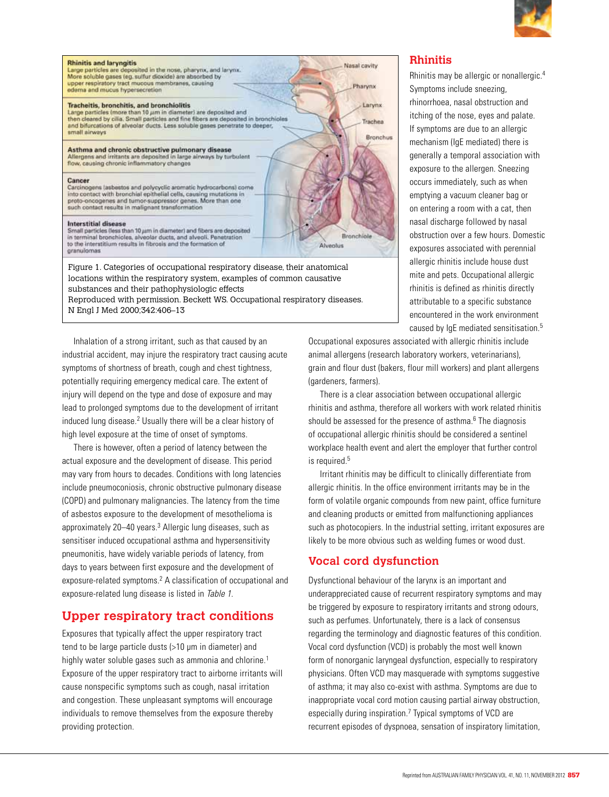

| <b>Rhinitis and laryngitis</b><br>Large particles are deposited in the nose, pharynx, and larynx.<br>More soluble gases (eg. sulfur dioxide) are absorbed by                                                                                                      | Nasal cavity           |
|-------------------------------------------------------------------------------------------------------------------------------------------------------------------------------------------------------------------------------------------------------------------|------------------------|
| upper respiratory tract mucous membranes, causing<br>edema and mucus hypersecretion                                                                                                                                                                               | Pharynx                |
| Tracheitis, bronchitis, and bronchiolitis<br>Large particles (more than 10 um in diameter) are deposited and                                                                                                                                                      | Larynx                 |
| then cleared by cilia. Small particles and fine fibers are deposited in bronchioles<br>and bifurcations of alveolar ducts. Less soluble gases penetrate to deeper,                                                                                                | Trachea                |
| small airways                                                                                                                                                                                                                                                     | Branchus               |
| Asthma and chronic obstructive pulmonary disease<br>Allergens and irritants are deposited in large airways by turbulent<br>flow, causing chronic inflammatory changes                                                                                             |                        |
| Cancer<br>Carcinogens lasbestos and polycyclic aromatic hydrocarbons) come<br>into contact with bronchial epithelial cells, causing mutations in<br>proto-oncogenes and tumor-suppressor genes. More than one<br>such contact results in malignant transformation |                        |
| Interstitial disease<br>Small particles (less than 10 um in diameter) and fibers are deposited<br>in terminal bronchioles, alveolar ducts, and alveoli. Penetration<br>to the interstitium results in fibrosis and the formation of<br>granulomas                 | Branchiole<br>Alvenhis |

Figure 1. Categories of occupational respiratory disease, their anatomical locations within the respiratory system, examples of common causative substances and their pathophysiologic effects Reproduced with permission. Beckett WS. Occupational respiratory diseases.

N Engl J Med 2000;342:406–13

Inhalation of a strong irritant, such as that caused by an industrial accident, may injure the respiratory tract causing acute symptoms of shortness of breath, cough and chest tightness, potentially requiring emergency medical care. The extent of injury will depend on the type and dose of exposure and may lead to prolonged symptoms due to the development of irritant induced lung disease.<sup>2</sup> Usually there will be a clear history of high level exposure at the time of onset of symptoms.

There is however, often a period of latency between the actual exposure and the development of disease. This period may vary from hours to decades. Conditions with long latencies include pneumoconiosis, chronic obstructive pulmonary disease (COPD) and pulmonary malignancies. The latency from the time of asbestos exposure to the development of mesothelioma is approximately 20–40 years.<sup>3</sup> Allergic lung diseases, such as sensitiser induced occupational asthma and hypersensitivity pneumonitis, have widely variable periods of latency, from days to years between first exposure and the development of exposure-related symptoms.<sup>2</sup> A classification of occupational and exposure-related lung disease is listed in Table 1.

# **Upper respiratory tract conditions**

Exposures that typically affect the upper respiratory tract tend to be large particle dusts (>10 μm in diameter) and highly water soluble gases such as ammonia and chlorine.<sup>1</sup> Exposure of the upper respiratory tract to airborne irritants will cause nonspecific symptoms such as cough, nasal irritation and congestion. These unpleasant symptoms will encourage individuals to remove themselves from the exposure thereby providing protection.

## **Rhinitis**

Rhinitis may be allergic or nonallergic.4 Symptoms include sneezing, rhinorrhoea, nasal obstruction and itching of the nose, eyes and palate. If symptoms are due to an allergic mechanism (IgE mediated) there is generally a temporal association with exposure to the allergen. Sneezing occurs immediately, such as when emptying a vacuum cleaner bag or on entering a room with a cat, then nasal discharge followed by nasal obstruction over a few hours. Domestic exposures associated with perennial allergic rhinitis include house dust mite and pets. Occupational allergic rhinitis is defined as rhinitis directly attributable to a specific substance encountered in the work environment caused by IgE mediated sensitisation.5

Occupational exposures associated with allergic rhinitis include animal allergens (research laboratory workers, veterinarians), grain and flour dust (bakers, flour mill workers) and plant allergens (gardeners, farmers).

There is a clear association between occupational allergic rhinitis and asthma, therefore all workers with work related rhinitis should be assessed for the presence of asthma. $6$  The diagnosis of occupational allergic rhinitis should be considered a sentinel workplace health event and alert the employer that further control is required.<sup>5</sup>

Irritant rhinitis may be difficult to clinically differentiate from allergic rhinitis. In the office environment irritants may be in the form of volatile organic compounds from new paint, office furniture and cleaning products or emitted from malfunctioning appliances such as photocopiers. In the industrial setting, irritant exposures are likely to be more obvious such as welding fumes or wood dust.

# **Vocal cord dysfunction**

Dysfunctional behaviour of the larynx is an important and underappreciated cause of recurrent respiratory symptoms and may be triggered by exposure to respiratory irritants and strong odours, such as perfumes. Unfortunately, there is a lack of consensus regarding the terminology and diagnostic features of this condition. Vocal cord dysfunction (VCD) is probably the most well known form of nonorganic laryngeal dysfunction, especially to respiratory physicians. Often VCD may masquerade with symptoms suggestive of asthma; it may also co-exist with asthma. Symptoms are due to inappropriate vocal cord motion causing partial airway obstruction, especially during inspiration.<sup>7</sup> Typical symptoms of VCD are recurrent episodes of dyspnoea, sensation of inspiratory limitation,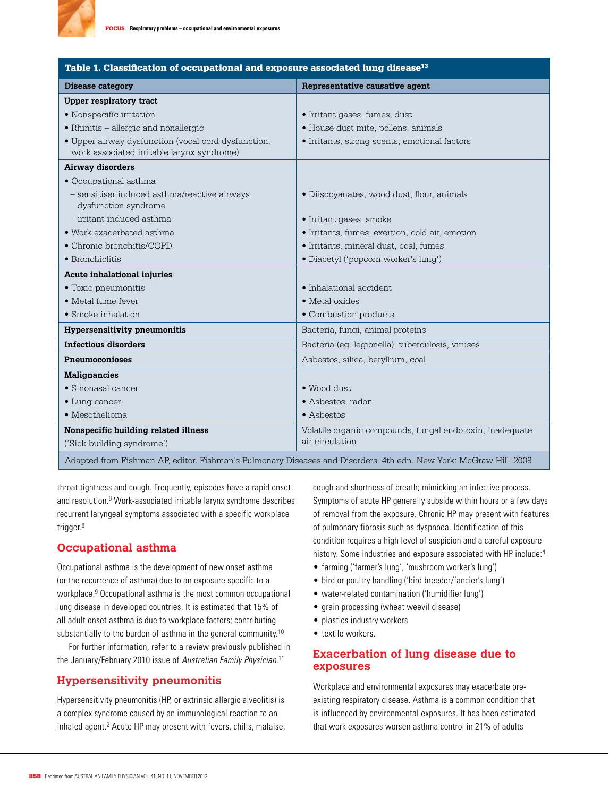

| Table 1. Classification of occupational and exposure associated lung disease <sup>13</sup> |                                                                                                                   |  |
|--------------------------------------------------------------------------------------------|-------------------------------------------------------------------------------------------------------------------|--|
| Disease category                                                                           | Representative causative agent                                                                                    |  |
| <b>Upper respiratory tract</b>                                                             |                                                                                                                   |  |
| • Nonspecific irritation                                                                   | • Irritant gases, fumes, dust                                                                                     |  |
| • Rhinitis - allergic and nonallergic                                                      | · House dust mite, pollens, animals                                                                               |  |
| • Upper airway dysfunction (vocal cord dysfunction,                                        | · Irritants, strong scents, emotional factors                                                                     |  |
| work associated irritable larynx syndrome)                                                 |                                                                                                                   |  |
| Airway disorders                                                                           |                                                                                                                   |  |
| • Occupational asthma                                                                      |                                                                                                                   |  |
| - sensitiser induced asthma/reactive airways<br>dysfunction syndrome                       | · Diisocyanates, wood dust, flour, animals                                                                        |  |
| $-$ irritant induced asthma                                                                | • Irritant gases, smoke                                                                                           |  |
| • Work exacerbated asthma                                                                  | · Irritants, fumes, exertion, cold air, emotion                                                                   |  |
| • Chronic bronchitis/COPD                                                                  | · Irritants, mineral dust, coal, fumes                                                                            |  |
| • Bronchiolitis                                                                            | • Diacetyl ('popcorn worker's lung')                                                                              |  |
| Acute inhalational injuries                                                                |                                                                                                                   |  |
| • Toxic pneumonitis                                                                        | • Inhalational accident                                                                                           |  |
| · Metal fume fever                                                                         | • Metal oxides                                                                                                    |  |
| • Smoke inhalation                                                                         | • Combustion products                                                                                             |  |
| <b>Hypersensitivity pneumonitis</b>                                                        | Bacteria, fungi, animal proteins                                                                                  |  |
| <b>Infectious disorders</b>                                                                | Bacteria (eq. legionella), tuberculosis, viruses                                                                  |  |
| Pneumoconioses                                                                             | Asbestos, silica, beryllium, coal                                                                                 |  |
| <b>Malignancies</b>                                                                        |                                                                                                                   |  |
| • Sinonasal cancer                                                                         | $\bullet$ Wood dust.                                                                                              |  |
| $\bullet$ Lung cancer                                                                      | • Asbestos, radon                                                                                                 |  |
| • Mesothelioma                                                                             | $\bullet$ Asbestos                                                                                                |  |
| Nonspecific building related illness                                                       | Volatile organic compounds, fungal endotoxin, inadequate                                                          |  |
| ('Sick building syndrome')                                                                 | air circulation                                                                                                   |  |
|                                                                                            | Adapted from Fishman AP, editor. Fishman's Pulmonary Diseases and Disorders. 4th edn. New York: McGraw Hill, 2008 |  |

throat tightness and cough. Frequently, episodes have a rapid onset and resolution.<sup>8</sup> Work-associated irritable larynx syndrome describes recurrent laryngeal symptoms associated with a specific workplace trigger.<sup>8</sup>

# **Occupational asthma**

Occupational asthma is the development of new onset asthma (or the recurrence of asthma) due to an exposure specific to a workplace.9 Occupational asthma is the most common occupational lung disease in developed countries. It is estimated that 15% of all adult onset asthma is due to workplace factors; contributing substantially to the burden of asthma in the general community.<sup>10</sup>

For further information, refer to a review previously published in the January/February 2010 issue of Australian Family Physician.<sup>11</sup>

## **Hypersensitivity pneumonitis**

Hypersensitivity pneumonitis (HP, or extrinsic allergic alveolitis) is a complex syndrome caused by an immunological reaction to an inhaled agent.<sup>2</sup> Acute HP may present with fevers, chills, malaise, cough and shortness of breath; mimicking an infective process. Symptoms of acute HP generally subside within hours or a few days of removal from the exposure. Chronic HP may present with features of pulmonary fibrosis such as dyspnoea. Identification of this condition requires a high level of suspicion and a careful exposure history. Some industries and exposure associated with HP include:<sup>4</sup>

- • farming ('farmer's lung', 'mushroom worker's lung')
- bird or poultry handling ('bird breeder/fancier's lung')
- • water-related contamination ('humidifier lung')
- grain processing (wheat weevil disease)
- plastics industry workers
- textile workers.

## **Exacerbation of lung disease due to exposures**

Workplace and environmental exposures may exacerbate preexisting respiratory disease. Asthma is a common condition that is influenced by environmental exposures. It has been estimated that work exposures worsen asthma control in 21% of adults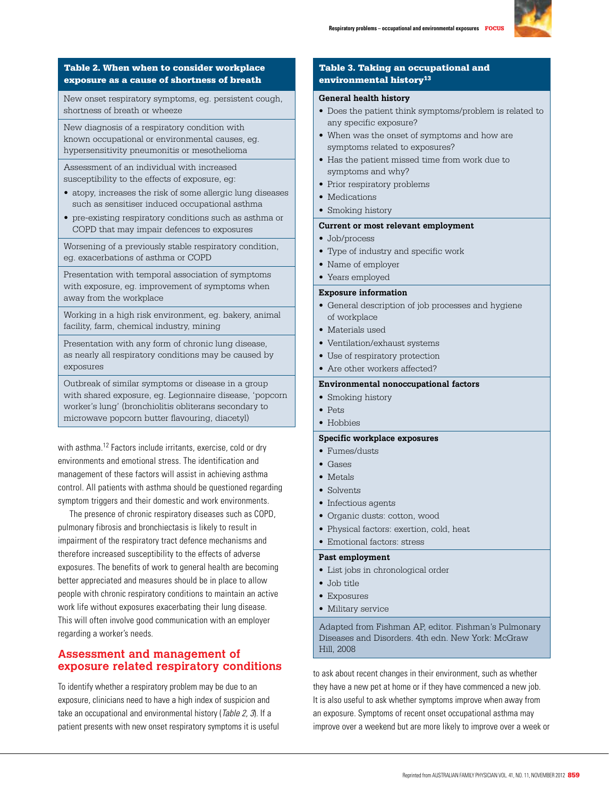

## Table 2. When when to consider workplace exposure as a cause of shortness of breath

New onset respiratory symptoms, eg. persistent cough, shortness of breath or wheeze

New diagnosis of a respiratory condition with known occupational or environmental causes, eg. hypersensitivity pneumonitis or mesothelioma

Assessment of an individual with increased susceptibility to the effects of exposure, eg:

- atopy, increases the risk of some allergic lung diseases such as sensitiser induced occupational asthma
- pre-existing respiratory conditions such as asthma or COPD that may impair defences to exposures

Worsening of a previously stable respiratory condition, eg. exacerbations of asthma or COPD

Presentation with temporal association of symptoms with exposure, eg. improvement of symptoms when away from the workplace

Working in a high risk environment, eg. bakery, animal facility, farm, chemical industry, mining

Presentation with any form of chronic lung disease, as nearly all respiratory conditions may be caused by exposures

Outbreak of similar symptoms or disease in a group with shared exposure, eg. Legionnaire disease, 'popcorn worker's lung' (bronchiolitis obliterans secondary to microwave popcorn butter flavouring, diacetyl)

with asthma.<sup>12</sup> Factors include irritants, exercise, cold or dry environments and emotional stress. The identification and management of these factors will assist in achieving asthma control. All patients with asthma should be questioned regarding symptom triggers and their domestic and work environments.

The presence of chronic respiratory diseases such as COPD, pulmonary fibrosis and bronchiectasis is likely to result in impairment of the respiratory tract defence mechanisms and therefore increased susceptibility to the effects of adverse exposures. The benefits of work to general health are becoming better appreciated and measures should be in place to allow people with chronic respiratory conditions to maintain an active work life without exposures exacerbating their lung disease. This will often involve good communication with an employer regarding a worker's needs.

# **Assessment and management of exposure related respiratory conditions**

To identify whether a respiratory problem may be due to an exposure, clinicians need to have a high index of suspicion and take an occupational and environmental history (Table 2, 3). If a patient presents with new onset respiratory symptoms it is useful

## Table 3. Taking an occupational and environmental history<sup>13</sup>

#### **General health history**

- Does the patient think symptoms/problem is related to any specific exposure?
- When was the onset of symptoms and how are symptoms related to exposures?
- Has the patient missed time from work due to symptoms and why?
- Prior respiratory problems
- Medications
- Smoking history

#### **Current or most relevant employment**

- Job/process
- Type of industry and specific work
- Name of employer
- Years employed

## **Exposure information**

- General description of job processes and hygiene of workplace
- Materials used
- Ventilation/exhaust systems
- Use of respiratory protection
- Are other workers affected?

## **Environmental nonoccupational factors**

- Smoking history
- Pets
- Hobbies

## **Specific workplace exposures**

- Fumes/dusts
- Gases
- Metals
- Solvents
- Infectious agents
- Organic dusts: cotton, wood
- Physical factors: exertion, cold, heat

## • Emotional factors: stress **Past employment**

- List jobs in chronological order
- Job title
- Exposures
- Military service

Adapted from Fishman AP, editor. Fishman's Pulmonary Diseases and Disorders. 4th edn. New York: McGraw Hill, 2008

to ask about recent changes in their environment, such as whether they have a new pet at home or if they have commenced a new job. It is also useful to ask whether symptoms improve when away from an exposure. Symptoms of recent onset occupational asthma may improve over a weekend but are more likely to improve over a week or